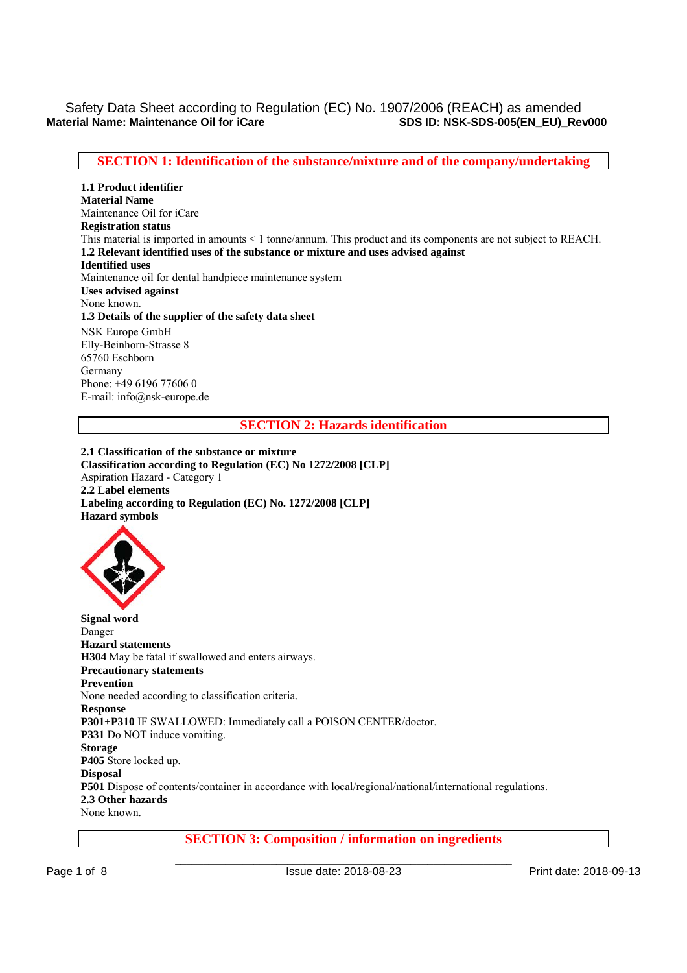# Safety Data Sheet according to Regulation (EC) No. 1907/2006 (REACH) as amended<br>SDS ID: NSK-SDS-005(EN EU) Re **SDS ID: NSK-SDS-005(EN\_EU)\_Rev000**

# **SECTION 1: Identification of the substance/mixture and of the company/undertaking**

**1.1 Product identifier Material Name**  Maintenance Oil for iCare **Registration status**  This material is imported in amounts < 1 tonne/annum. This product and its components are not subject to REACH. **1.2 Relevant identified uses of the substance or mixture and uses advised against Identified uses**  Maintenance oil for dental handpiece maintenance system **Uses advised against**  None known. **1.3 Details of the supplier of the safety data sheet**  NSK Europe GmbH Elly-Beinhorn-Strasse 8 65760 Eschborn Germany Phone: +49 6196 77606 0

**SECTION 2: Hazards identification** 

**2.1 Classification of the substance or mixture Classification according to Regulation (EC) No 1272/2008 [CLP]**  Aspiration Hazard - Category 1 **2.2 Label elements Labeling according to Regulation (EC) No. 1272/2008 [CLP] Hazard symbols** 



E-mail: info@nsk-europe.de

**Signal word**  Danger **Hazard statements H304** May be fatal if swallowed and enters airways. **Precautionary statements Prevention**  None needed according to classification criteria. **Response P301+P310** IF SWALLOWED: Immediately call a POISON CENTER/doctor. **P331** Do NOT induce vomiting. **Storage P405** Store locked up. **Disposal P501** Dispose of contents/container in accordance with local/regional/national/international regulations. **2.3 Other hazards**  None known.

**SECTION 3: Composition / information on ingredients**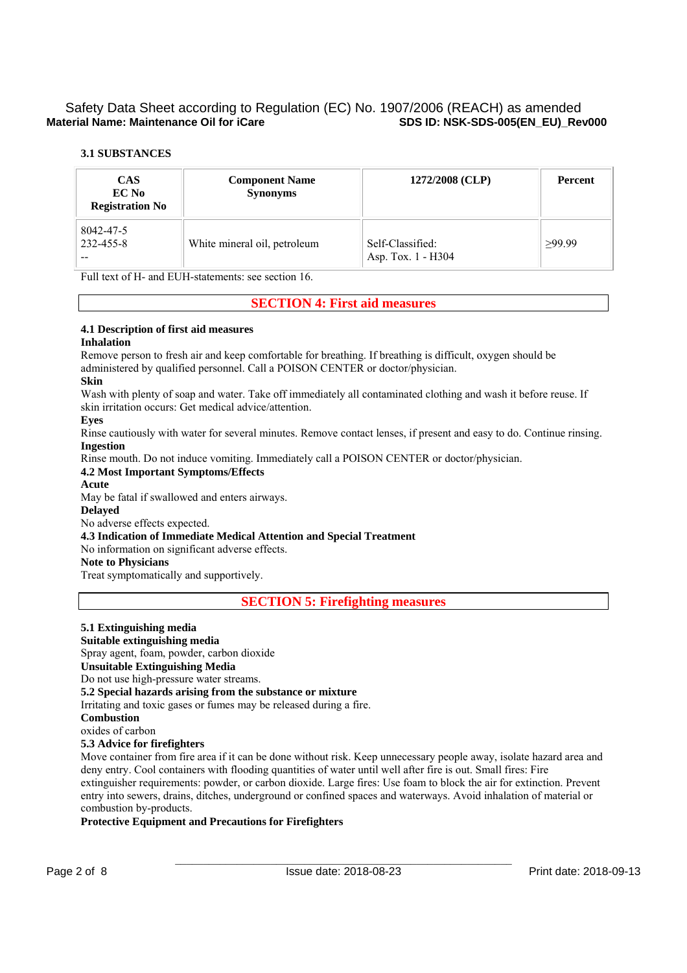## **3.1 SUBSTANCES**

| <b>CAS</b><br>EC No<br><b>Registration No</b> | <b>Component Name</b><br><b>Synonyms</b> | 1272/2008 (CLP)                        | Percent |  |
|-----------------------------------------------|------------------------------------------|----------------------------------------|---------|--|
| 8042-47-5<br>232-455-8<br>--                  | White mineral oil, petroleum             | Self-Classified:<br>Asp. Tox. 1 - H304 | >99.99  |  |

Full text of H- and EUH-statements: see section 16.

# **SECTION 4: First aid measures**

## **4.1 Description of first aid measures**

#### **Inhalation**

Remove person to fresh air and keep comfortable for breathing. If breathing is difficult, oxygen should be administered by qualified personnel. Call a POISON CENTER or doctor/physician.

#### **Skin**

Wash with plenty of soap and water. Take off immediately all contaminated clothing and wash it before reuse. If skin irritation occurs: Get medical advice/attention.

#### **Eyes**

Rinse cautiously with water for several minutes. Remove contact lenses, if present and easy to do. Continue rinsing. **Ingestion** 

Rinse mouth. Do not induce vomiting. Immediately call a POISON CENTER or doctor/physician.

#### **4.2 Most Important Symptoms/Effects**

# **Acute**

May be fatal if swallowed and enters airways.

**Delayed** 

No adverse effects expected.

**4.3 Indication of Immediate Medical Attention and Special Treatment** 

No information on significant adverse effects.

# **Note to Physicians**

Treat symptomatically and supportively.

**SECTION 5: Firefighting measures** 

# **5.1 Extinguishing media**

**Suitable extinguishing media** 

Spray agent, foam, powder, carbon dioxide

**Unsuitable Extinguishing Media** 

Do not use high-pressure water streams.

#### **5.2 Special hazards arising from the substance or mixture**

Irritating and toxic gases or fumes may be released during a fire.

# **Combustion**

oxides of carbon

# **5.3 Advice for firefighters**

Move container from fire area if it can be done without risk. Keep unnecessary people away, isolate hazard area and deny entry. Cool containers with flooding quantities of water until well after fire is out. Small fires: Fire extinguisher requirements: powder, or carbon dioxide. Large fires: Use foam to block the air for extinction. Prevent entry into sewers, drains, ditches, underground or confined spaces and waterways. Avoid inhalation of material or combustion by-products.

## **Protective Equipment and Precautions for Firefighters**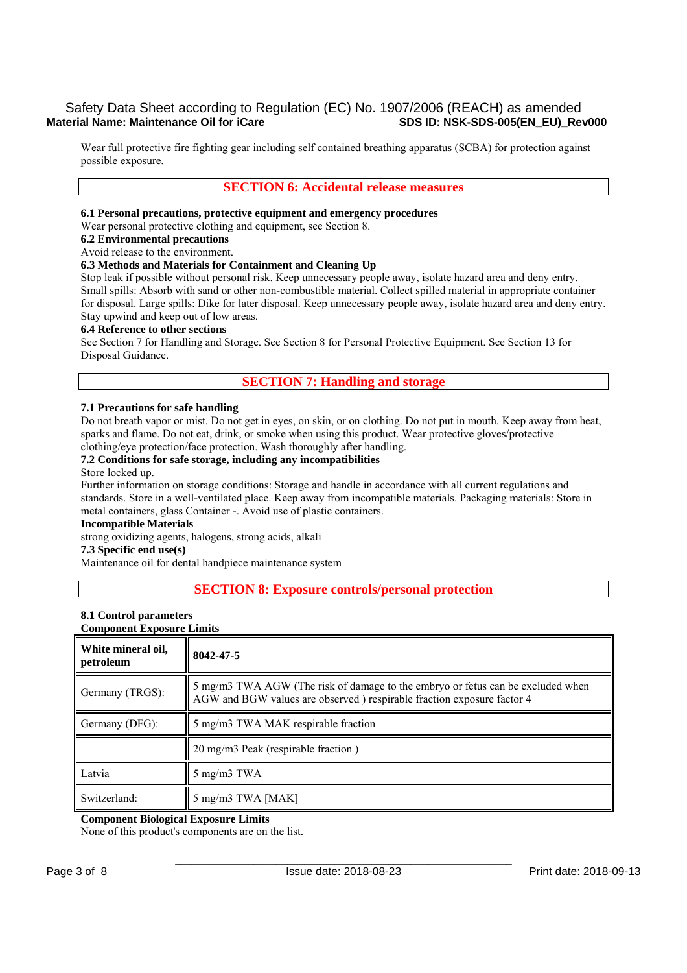# Safety Data Sheet according to Regulation (EC) No. 1907/2006 (REACH) as amended<br>sps ID: NSK-SDS-005(EN EU) Rev000 **Material Name: Maintenance Oil for iCare**

Wear full protective fire fighting gear including self contained breathing apparatus (SCBA) for protection against possible exposure.

# **SECTION 6: Accidental release measures**

#### **6.1 Personal precautions, protective equipment and emergency procedures**

Wear personal protective clothing and equipment, see Section 8.

#### **6.2 Environmental precautions**

Avoid release to the environment.

#### **6.3 Methods and Materials for Containment and Cleaning Up**

Stop leak if possible without personal risk. Keep unnecessary people away, isolate hazard area and deny entry. Small spills: Absorb with sand or other non-combustible material. Collect spilled material in appropriate container for disposal. Large spills: Dike for later disposal. Keep unnecessary people away, isolate hazard area and deny entry. Stay upwind and keep out of low areas.

#### **6.4 Reference to other sections**

See Section 7 for Handling and Storage. See Section 8 for Personal Protective Equipment. See Section 13 for Disposal Guidance.

# **SECTION 7: Handling and storage**

#### **7.1 Precautions for safe handling**

Do not breath vapor or mist. Do not get in eyes, on skin, or on clothing. Do not put in mouth. Keep away from heat, sparks and flame. Do not eat, drink, or smoke when using this product. Wear protective gloves/protective clothing/eye protection/face protection. Wash thoroughly after handling.

# **7.2 Conditions for safe storage, including any incompatibilities**

# Store locked up.

Further information on storage conditions: Storage and handle in accordance with all current regulations and standards. Store in a well-ventilated place. Keep away from incompatible materials. Packaging materials: Store in metal containers, glass Container -. Avoid use of plastic containers.

## **Incompatible Materials**

strong oxidizing agents, halogens, strong acids, alkali

# **7.3 Specific end use(s)**

Maintenance oil for dental handpiece maintenance system

## **SECTION 8: Exposure controls/personal protection**

#### **8.1 Control parameters**

#### **Component Exposure Limits**

| White mineral oil,<br>petroleum | 8042-47-5                                                                                                                                                  |
|---------------------------------|------------------------------------------------------------------------------------------------------------------------------------------------------------|
| Germany (TRGS):                 | 5 mg/m3 TWA AGW (The risk of damage to the embryo or fetus can be excluded when<br>AGW and BGW values are observed ) respirable fraction exposure factor 4 |
| Germany (DFG):                  | 5 mg/m3 TWA MAK respirable fraction                                                                                                                        |
|                                 | 20 mg/m3 Peak (respirable fraction)                                                                                                                        |
| Latvia                          | $5 \text{ mg/m}3 \text{ TWA}$                                                                                                                              |
| Switzerland:                    | 5 mg/m3 TWA [MAK]                                                                                                                                          |

## **Component Biological Exposure Limits**

None of this product's components are on the list.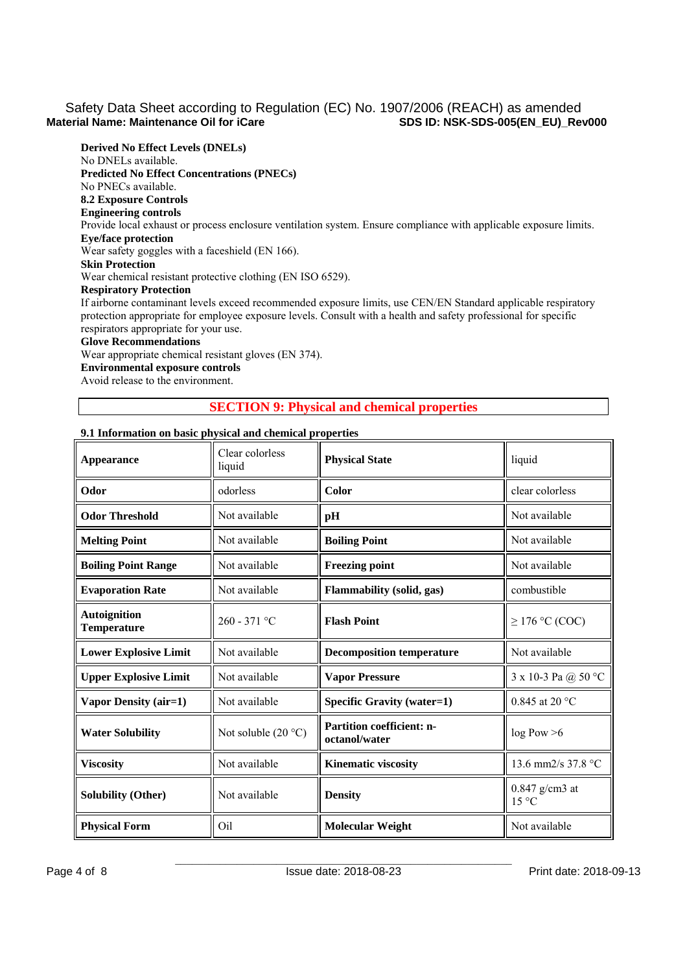**Derived No Effect Levels (DNELs)**  No DNELs available. **Predicted No Effect Concentrations (PNECs)**  No PNECs available. **8.2 Exposure Controls Engineering controls**  Provide local exhaust or process enclosure ventilation system. Ensure compliance with applicable exposure limits. **Eye/face protection**  Wear safety goggles with a faceshield (EN 166). **Skin Protection**  Wear chemical resistant protective clothing (EN ISO 6529). **Respiratory Protection**  If airborne contaminant levels exceed recommended exposure limits, use CEN/EN Standard applicable respiratory protection appropriate for employee exposure levels. Consult with a health and safety professional for specific respirators appropriate for your use. **Glove Recommendations**  Wear appropriate chemical resistant gloves (EN 374).

**Environmental exposure controls**  Avoid release to the environment.

# **SECTION 9: Physical and chemical properties**

# **9.1 Information on basic physical and chemical properties**

| Appearance                                    | Clear colorless<br>liquid | <b>Physical State</b>                      | liquid                             |  |
|-----------------------------------------------|---------------------------|--------------------------------------------|------------------------------------|--|
| Odor                                          | odorless                  | Color                                      | clear colorless                    |  |
| <b>Odor Threshold</b>                         | Not available             | pH                                         | Not available                      |  |
| <b>Melting Point</b>                          | Not available             | <b>Boiling Point</b>                       | Not available                      |  |
| <b>Boiling Point Range</b>                    | Not available             | <b>Freezing point</b>                      | Not available                      |  |
| <b>Evaporation Rate</b>                       | Not available             | Flammability (solid, gas)                  | combustible                        |  |
| <b>Autoignition</b><br><b>Temperature</b>     | $260 - 371$ °C            | <b>Flash Point</b>                         | $\geq$ 176 °C (COC)                |  |
| Not available<br><b>Lower Explosive Limit</b> |                           | <b>Decomposition temperature</b>           | Not available                      |  |
| <b>Upper Explosive Limit</b>                  | Not available             | <b>Vapor Pressure</b>                      | 3 x 10-3 Pa $@$ 50 °C              |  |
| Vapor Density (air=1)                         | Not available             | <b>Specific Gravity (water=1)</b>          | 0.845 at 20 °C                     |  |
| <b>Water Solubility</b>                       | Not soluble $(20 °C)$     | Partition coefficient: n-<br>octanol/water | log Pow > 6                        |  |
| <b>Viscosity</b>                              | Not available             | <b>Kinematic viscosity</b>                 | 13.6 mm2/s 37.8 °C                 |  |
| <b>Solubility (Other)</b>                     | Not available             | <b>Density</b>                             | $0.847$ g/cm3 at<br>$15^{\circ}$ C |  |
| <b>Physical Form</b>                          | Oil                       | <b>Molecular Weight</b>                    | Not available                      |  |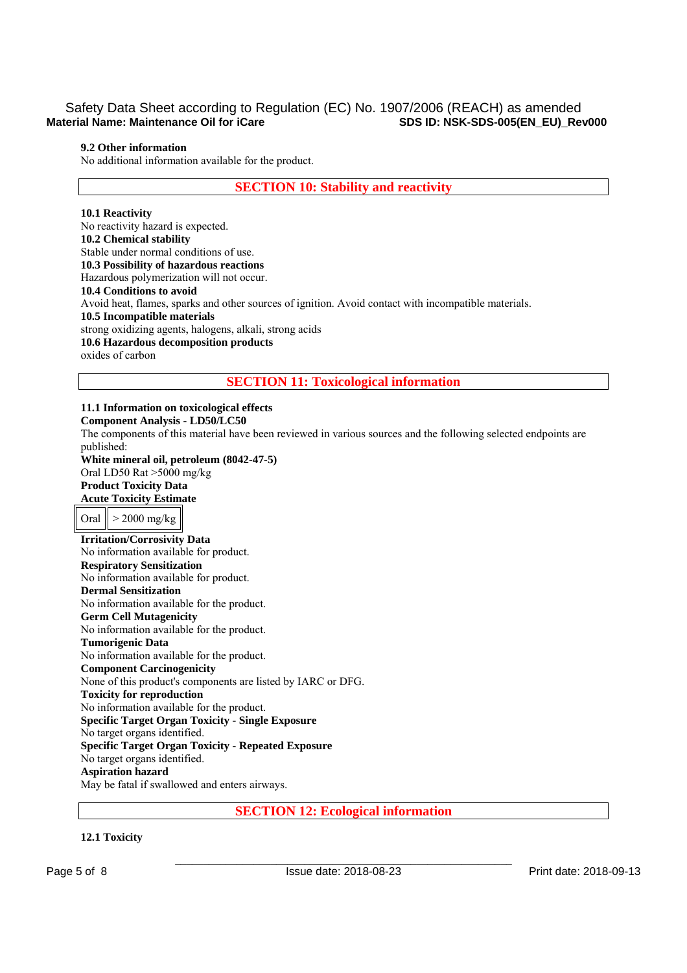## **9.2 Other information**

No additional information available for the product.

**SECTION 10: Stability and reactivity** 

#### **10.1 Reactivity**

No reactivity hazard is expected. **10.2 Chemical stability**  Stable under normal conditions of use. **10.3 Possibility of hazardous reactions**  Hazardous polymerization will not occur. **10.4 Conditions to avoid**  Avoid heat, flames, sparks and other sources of ignition. Avoid contact with incompatible materials. **10.5 Incompatible materials**  strong oxidizing agents, halogens, alkali, strong acids **10.6 Hazardous decomposition products**  oxides of carbon

**SECTION 11: Toxicological information** 

**11.1 Information on toxicological effects Component Analysis - LD50/LC50**  The components of this material have been reviewed in various sources and the following selected endpoints are published: **White mineral oil, petroleum (8042-47-5)** Oral LD50 Rat >5000 mg/kg **Product Toxicity Data Acute Toxicity Estimate**  Oral  $\vert$  > 2000 mg/kg **Irritation/Corrosivity Data**  No information available for product. **Respiratory Sensitization**  No information available for product. **Dermal Sensitization**  No information available for the product. **Germ Cell Mutagenicity**  No information available for the product. **Tumorigenic Data**  No information available for the product. **Component Carcinogenicity**  None of this product's components are listed by IARC or DFG. **Toxicity for reproduction**  No information available for the product. **Specific Target Organ Toxicity - Single Exposure**  No target organs identified. **Specific Target Organ Toxicity - Repeated Exposure**  No target organs identified. **Aspiration hazard**  May be fatal if swallowed and enters airways.

**SECTION 12: Ecological information** 

# **12.1 Toxicity**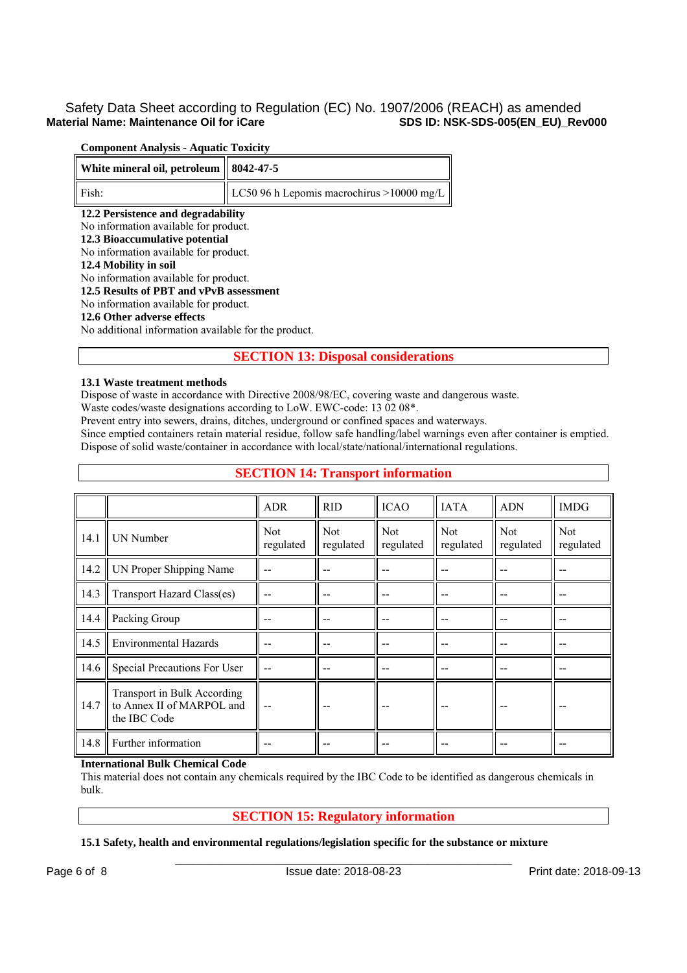# Safety Data Sheet according to Regulation (EC) No. 1907/2006 (REACH) as amended<br>sps ID: NSK-SDS-005(EN\_EU)\_Rev000 **Material Name: Maintenance Oil for iCare**

# **Component Analysis - Aquatic Toxicity**

| White mineral oil, petroleum            | 8042-47-5                                  |  |  |  |  |  |  |
|-----------------------------------------|--------------------------------------------|--|--|--|--|--|--|
| Fish:                                   | LC50 96 h Lepomis macrochirus > 10000 mg/L |  |  |  |  |  |  |
| 12.2 Persistence and degradability      |                                            |  |  |  |  |  |  |
| No information available for product.   |                                            |  |  |  |  |  |  |
| 12.3 Bioaccumulative potential          |                                            |  |  |  |  |  |  |
| No information available for product.   |                                            |  |  |  |  |  |  |
| 12.4 Mobility in soil                   |                                            |  |  |  |  |  |  |
| No information available for product.   |                                            |  |  |  |  |  |  |
| 12.5 Results of PBT and vPvB assessment |                                            |  |  |  |  |  |  |
|                                         | No information available for product.      |  |  |  |  |  |  |
| 12.6 Other adverse effects              |                                            |  |  |  |  |  |  |

No additional information available for the product.

# **SECTION 13: Disposal considerations**

#### **13.1 Waste treatment methods**

Dispose of waste in accordance with Directive 2008/98/EC, covering waste and dangerous waste.

Waste codes/waste designations according to LoW. EWC-code: 13 02 08\*.

Prevent entry into sewers, drains, ditches, underground or confined spaces and waterways.

Since emptied containers retain material residue, follow safe handling/label warnings even after container is emptied. Dispose of solid waste/container in accordance with local/state/national/international regulations.

# **SECTION 14: Transport information**

|      |                                                                          | <b>ADR</b>              | <b>RID</b>              | <b>ICAO</b>             | <b>IATA</b>             | <b>ADN</b>              | <b>IMDG</b>             |
|------|--------------------------------------------------------------------------|-------------------------|-------------------------|-------------------------|-------------------------|-------------------------|-------------------------|
| 14.1 | <b>UN</b> Number                                                         | <b>Not</b><br>regulated | <b>Not</b><br>regulated | <b>Not</b><br>regulated | <b>Not</b><br>regulated | <b>Not</b><br>regulated | <b>Not</b><br>regulated |
| 14.2 | UN Proper Shipping Name                                                  | --                      |                         |                         |                         |                         |                         |
| 14.3 | Transport Hazard Class(es)                                               | --                      |                         |                         |                         |                         | --                      |
| 14.4 | Packing Group                                                            | --                      |                         | --                      |                         |                         | --                      |
| 14.5 | <b>Environmental Hazards</b>                                             |                         |                         |                         |                         |                         | --                      |
| 14.6 | Special Precautions For User                                             | --                      |                         |                         |                         |                         |                         |
| 14.7 | Transport in Bulk According<br>to Annex II of MARPOL and<br>the IBC Code |                         |                         |                         |                         |                         |                         |
| 14.8 | Further information                                                      |                         |                         |                         |                         |                         |                         |

## **International Bulk Chemical Code**

This material does not contain any chemicals required by the IBC Code to be identified as dangerous chemicals in bulk.

# **SECTION 15: Regulatory information**

## **15.1 Safety, health and environmental regulations/legislation specific for the substance or mixture**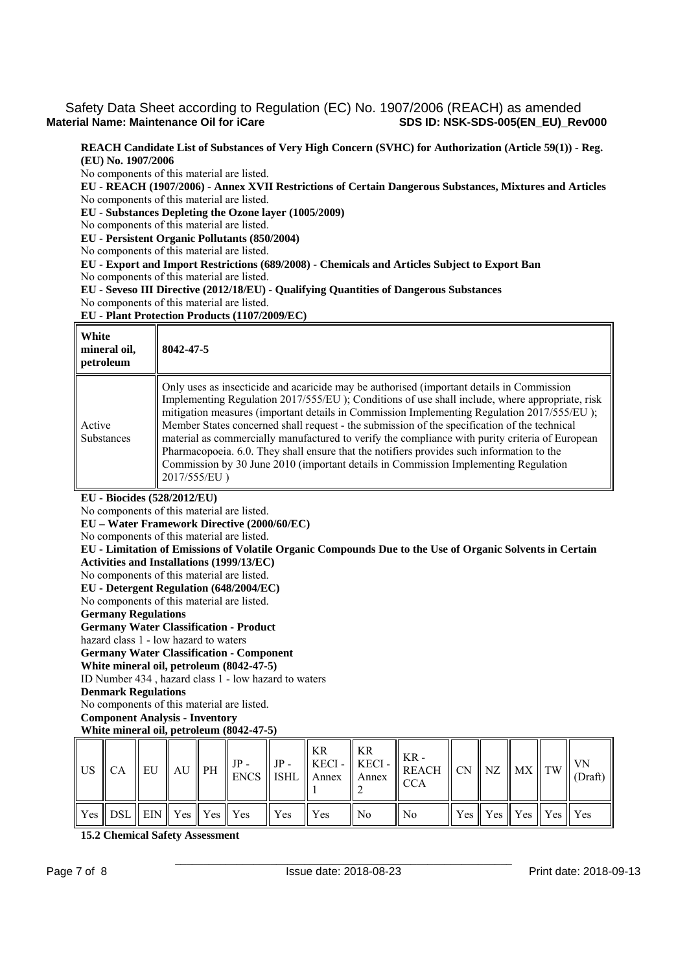# Safety Data Sheet according to Regulation (EC) No. 1907/2006 (REACH) as amended<br>SDS ID: NSK-SDS-005(EN EU) Rev000 **Material Name: Maintenance Oil for iCare**

**REACH Candidate List of Substances of Very High Concern (SVHC) for Authorization (Article 59(1)) - Reg. (EU) No. 1907/2006** 

No components of this material are listed.

**EU - REACH (1907/2006) - Annex XVII Restrictions of Certain Dangerous Substances, Mixtures and Articles**  No components of this material are listed.

**EU - Substances Depleting the Ozone layer (1005/2009)** 

No components of this material are listed.

**EU - Persistent Organic Pollutants (850/2004)** 

No components of this material are listed.

**EU - Export and Import Restrictions (689/2008) - Chemicals and Articles Subject to Export Ban** 

No components of this material are listed.

**EU - Seveso III Directive (2012/18/EU) - Qualifying Quantities of Dangerous Substances** 

No components of this material are listed.

**EU - Plant Protection Products (1107/2009/EC)** 

| White<br>mineral oil,<br>petroleum | 8042-47-5                                                                                                                                                                                                                                                                                                                                                                                                                                                                                                                                                                                                                                                                                         |
|------------------------------------|---------------------------------------------------------------------------------------------------------------------------------------------------------------------------------------------------------------------------------------------------------------------------------------------------------------------------------------------------------------------------------------------------------------------------------------------------------------------------------------------------------------------------------------------------------------------------------------------------------------------------------------------------------------------------------------------------|
| Active<br><b>Substances</b>        | Only uses as insecticide and acaricide may be authorised (important details in Commission<br>Implementing Regulation 2017/555/EU ); Conditions of use shall include, where appropriate, risk<br>mitigation measures (important details in Commission Implementing Regulation 2017/555/EU);<br>Member States concerned shall request - the submission of the specification of the technical<br>material as commercially manufactured to verify the compliance with purity criteria of European<br>Pharmacopoeia. 6.0. They shall ensure that the notifiers provides such information to the<br>Commission by 30 June 2010 (important details in Commission Implementing Regulation<br>2017/555/EU) |

**EU - Biocides (528/2012/EU)** 

No components of this material are listed.

**EU – Water Framework Directive (2000/60/EC)** 

No components of this material are listed.

**EU - Limitation of Emissions of Volatile Organic Compounds Due to the Use of Organic Solvents in Certain Activities and Installations (1999/13/EC)** 

No components of this material are listed.

**EU - Detergent Regulation (648/2004/EC)** 

No components of this material are listed.

**Germany Regulations** 

**Germany Water Classification - Product** 

hazard class 1 - low hazard to waters

**Germany Water Classification - Component** 

**White mineral oil, petroleum (8042-47-5)**

ID Number 434 , hazard class 1 - low hazard to waters

### **Denmark Regulations**

No components of this material are listed.

**Component Analysis - Inventory** 

# **White mineral oil, petroleum (8042-47-5)**

|  |  |                                                                                                                                 |  |                | $\begin{array}{c} \begin{array}{c} \begin{bmatrix} \begin{bmatrix} \begin{bmatrix} \begin{bmatrix} \begin{bmatrix} \begin{bmatrix} \begin{bmatrix} \begin{bmatrix} \begin{bmatrix} \begin{bmatrix} \begin{bmatrix} \end{bmatrix} \end{bmatrix} \end{bmatrix} \end{bmatrix} \end{bmatrix} \end{bmatrix} \end{bmatrix} \end{array} \end{bmatrix} \end{array} \end{array} \end{array} \begin{array}{c} \begin{bmatrix} \begin{bmatrix} \begin{bmatrix} \begin{bmatrix} \begin{bmatrix} \begin{bmatrix} \begin{bmatrix} \begin{bmatrix} \end{bmatrix} \end{bmatrix} \end{bmatrix$ |  |                                                                                 |  |
|--|--|---------------------------------------------------------------------------------------------------------------------------------|--|----------------|-------------------------------------------------------------------------------------------------------------------------------------------------------------------------------------------------------------------------------------------------------------------------------------------------------------------------------------------------------------------------------------------------------------------------------------------------------------------------------------------------------------------------------------------------------------------------------|--|---------------------------------------------------------------------------------|--|
|  |  | $\parallel$ Yes $\parallel$ DSL $\parallel$ EIN $\parallel$ Yes $\parallel$ Yes $\parallel$ Yes $\parallel$ Yes $\parallel$ Yes |  | $\parallel$ No | $\parallel$ No                                                                                                                                                                                                                                                                                                                                                                                                                                                                                                                                                                |  | $\parallel$ Yes $\parallel$ Yes $\parallel$ Yes $\parallel$ Yes $\parallel$ Yes |  |

**15.2 Chemical Safety Assessment**